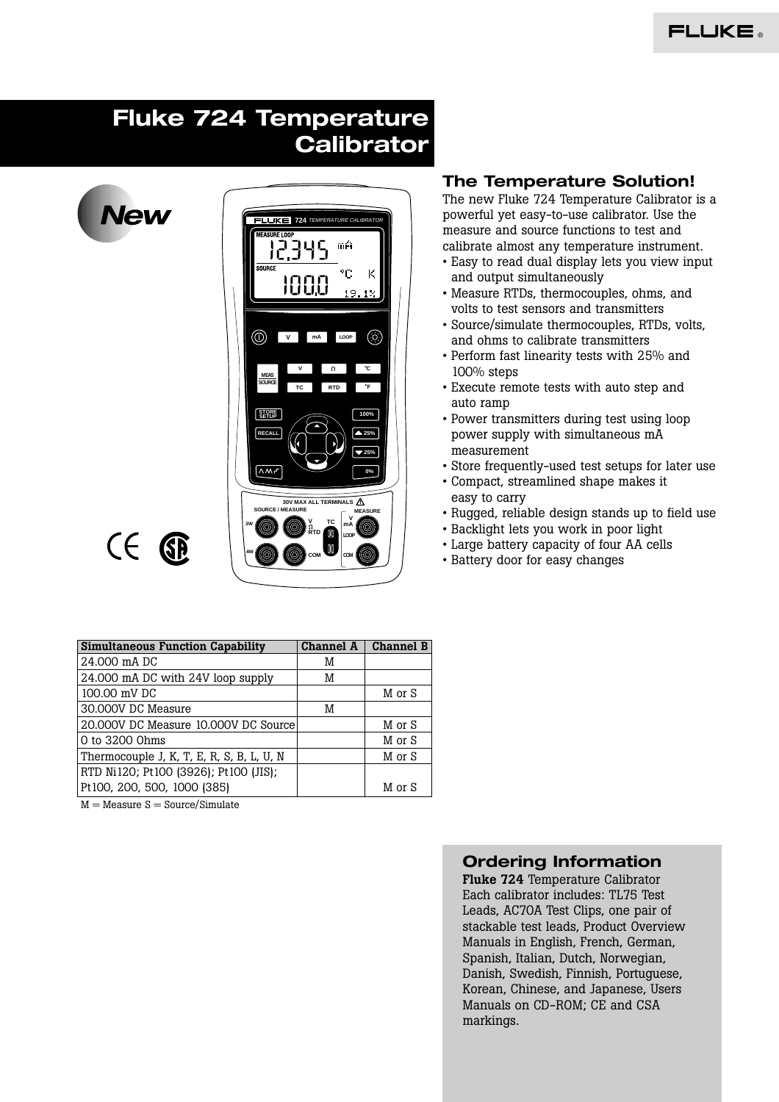# **Fluke 724 Temperature Calibrator**

**Vew** 



# $C \in \mathbb{G}$

## **The Temperature Solution!**

The new Fluke 724 Temperature Calibrator is a powerful yet easy-to-use calibrator. Use the measure and source functions to test and calibrate almost any temperature instrument.

- Easy to read dual display lets you view input and output simultaneously
- Measure RTDs, thermocouples, ohms, and volts to test sensors and transmitters
- Source/simulate thermocouples, RTDs, volts, and ohms to calibrate transmitters
- Perform fast linearity tests with 25% and 100% steps
- Execute remote tests with auto step and auto ramp
- Power transmitters during test using loop power supply with simultaneous mA measurement
- Store frequently-used test setups for later use
- Compact, streamlined shape makes it easy to carry
- Rugged, reliable design stands up to field use
- Backlight lets you work in poor light
- Large battery capacity of four AA cells
- Battery door for easy changes

| <b>Simultaneous Function Capability</b>   | <b>Channel A</b> | <b>Channel B</b> |
|-------------------------------------------|------------------|------------------|
| 24,000 mA DC                              | M                |                  |
| 24.000 mA DC with 24V loop supply         | M                |                  |
| 100.00 mV DC                              |                  | M or S           |
| 30.000V DC Measure                        | M                |                  |
| 20.000V DC Measure 10.000V DC Source      |                  | M or S           |
| 0 to 3200 0hms                            |                  | M or S           |
| Thermocouple J, K, T, E, R, S, B, L, U, N |                  | M or S           |
| RTD Ni120; Pt100 (3926); Pt100 (JIS);     |                  |                  |
| Pt100, 200, 500, 1000 (385)               |                  | M or S           |

 $M = Measure S = Source/Simulate$ 

## **Ordering Information**

**Fluke 724** Temperature Calibrator Each calibrator includes: TL75 Test Leads, AC70A Test Clips, one pair of stackable test leads, Product Overview Manuals in English, French, German, Spanish, Italian, Dutch, Norwegian, Danish, Swedish, Finnish, Portuguese, Korean, Chinese, and Japanese, Users Manuals on CD-ROM; CE and CSA markings.